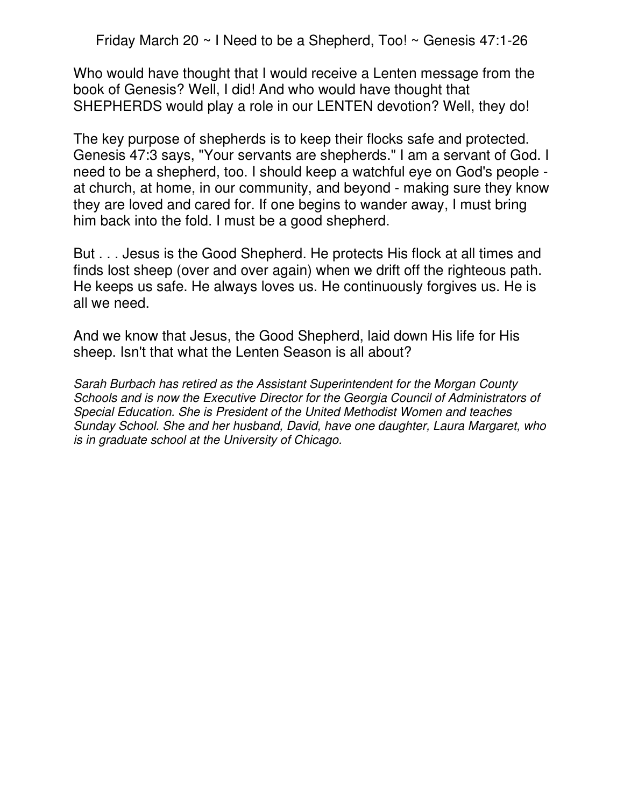Friday March 20 ~ I Need to be a Shepherd, Too! ~ Genesis 47:1-26

Who would have thought that I would receive a Lenten message from the book of Genesis? Well, I did! And who would have thought that SHEPHERDS would play a role in our LENTEN devotion? Well, they do!

The key purpose of shepherds is to keep their flocks safe and protected. Genesis 47:3 says, "Your servants are shepherds." I am a servant of God. I need to be a shepherd, too. I should keep a watchful eye on God's people at church, at home, in our community, and beyond - making sure they know they are loved and cared for. If one begins to wander away, I must bring him back into the fold. I must be a good shepherd.

But . . . Jesus is the Good Shepherd. He protects His flock at all times and finds lost sheep (over and over again) when we drift off the righteous path. He keeps us safe. He always loves us. He continuously forgives us. He is all we need.

And we know that Jesus, the Good Shepherd, laid down His life for His sheep. Isn't that what the Lenten Season is all about?

Sarah Burbach has retired as the Assistant Superintendent for the Morgan County Schools and is now the Executive Director for the Georgia Council of Administrators of Special Education. She is President of the United Methodist Women and teaches Sunday School. She and her husband, David, have one daughter, Laura Margaret, who is in graduate school at the University of Chicago.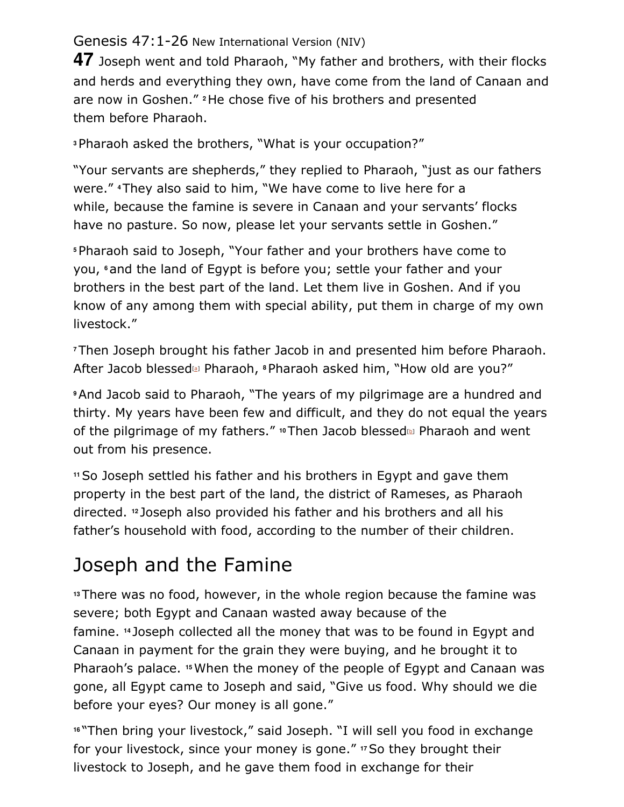## Genesis 47:1-26 New International Version (NIV)

**47** Joseph went and told Pharaoh, "My father and brothers, with their flocks and herds and everything they own, have come from the land of Canaan and are now in Goshen." **2** He chose five of his brothers and presented them before Pharaoh.

**<sup>3</sup>**Pharaoh asked the brothers, "What is your occupation?"

"Your servants are shepherds," they replied to Pharaoh, "just as our fathers were." **4** They also said to him, "We have come to live here for a while, because the famine is severe in Canaan and your servants' flocks have no pasture. So now, please let your servants settle in Goshen."

**<sup>5</sup>**Pharaoh said to Joseph, "Your father and your brothers have come to you, **6** and the land of Egypt is before you; settle your father and your brothers in the best part of the land. Let them live in Goshen. And if you know of any among them with special ability, put them in charge of my own livestock."

**<sup>7</sup>**Then Joseph brought his father Jacob in and presented him before Pharaoh. After Jacob blessed[a] Pharaoh, **8** Pharaoh asked him, "How old are you?"

**<sup>9</sup>**And Jacob said to Pharaoh, "The years of my pilgrimage are a hundred and thirty. My years have been few and difficult, and they do not equal the years of the pilgrimage of my fathers." **10** Then Jacob blessed[b] Pharaoh and went out from his presence.

**<sup>11</sup>**So Joseph settled his father and his brothers in Egypt and gave them property in the best part of the land, the district of Rameses, as Pharaoh directed. **12** Joseph also provided his father and his brothers and all his father's household with food, according to the number of their children.

## Joseph and the Famine

**<sup>13</sup>**There was no food, however, in the whole region because the famine was severe; both Egypt and Canaan wasted away because of the famine. **14** Joseph collected all the money that was to be found in Egypt and Canaan in payment for the grain they were buying, and he brought it to Pharaoh's palace. **15** When the money of the people of Egypt and Canaan was gone, all Egypt came to Joseph and said, "Give us food. Why should we die before your eyes? Our money is all gone."

**<sup>16</sup>**"Then bring your livestock," said Joseph. "I will sell you food in exchange for your livestock, since your money is gone." **17** So they brought their livestock to Joseph, and he gave them food in exchange for their